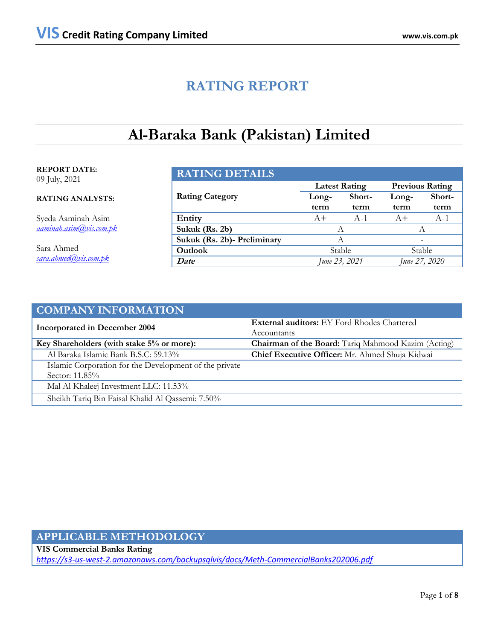# **RATING REPORT**

# **Al-Baraka Bank (Pakistan) Limited**

## **REPORT DATE:** 09 July, 2021

# **RATING ANALYSTS:**

Syeda Aaminah Asim *[aaminah.asim@vis.com.pk](mailto:aaminah.asim@vis.com.pk)*

Sara Ahmed *sara.ahmed@vis.com.pk*

| <b>RATING DETAILS</b>       |                 |                      |                        |        |  |  |
|-----------------------------|-----------------|----------------------|------------------------|--------|--|--|
|                             |                 | <b>Latest Rating</b> | <b>Previous Rating</b> |        |  |  |
| <b>Rating Category</b>      | Short-<br>Long- |                      | Long-                  | Short- |  |  |
|                             | term            | term                 | term                   | term   |  |  |
| Entity                      | $A+$            | $A-1$                | $A+$                   | $A-1$  |  |  |
| Sukuk (Rs. 2b)              |                 |                      | A                      |        |  |  |
| Sukuk (Rs. 2b)- Preliminary | А               |                      |                        |        |  |  |
| Outlook                     | Stable          |                      | Stable                 |        |  |  |
| Date                        | June 23, 2021   |                      | June 27, 2020          |        |  |  |

| <b>COMPANY INFORMATION</b>                             |                                                            |  |  |
|--------------------------------------------------------|------------------------------------------------------------|--|--|
| <b>Incorporated in December 2004</b>                   | <b>External auditors:</b> EY Ford Rhodes Chartered         |  |  |
|                                                        | Accountants                                                |  |  |
| Key Shareholders (with stake 5% or more):              | <b>Chairman of the Board:</b> Tariq Mahmood Kazim (Acting) |  |  |
| Al Baraka Islamic Bank B.S.C: 59.13%                   | Chief Executive Officer: Mr. Ahmed Shuja Kidwai            |  |  |
| Islamic Corporation for the Development of the private |                                                            |  |  |
| Sector: 11.85%                                         |                                                            |  |  |
| Mal Al Khaleej Investment LLC: 11.53%                  |                                                            |  |  |
| Sheikh Tariq Bin Faisal Khalid Al Qassemi: 7.50%       |                                                            |  |  |

# **APPLICABLE METHODOLOGY**

**VIS Commercial Banks Rating**  *https://s3-us-west-2.amazonaws.com/backupsqlvis/docs/Meth-CommercialBanks202006.pdf*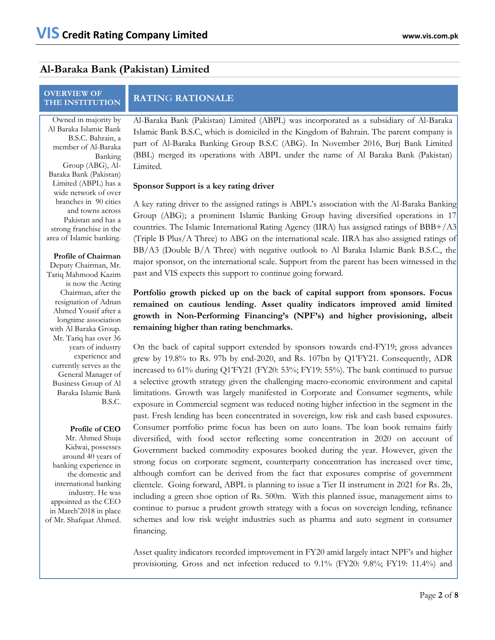# **Al-Baraka Bank (Pakistan) Limited**

# **OVERVIEW OF**

# **RATING RATIONALE**

Owned in majority by Al Baraka Islamic Bank B.S.C. Bahrain, a member of Al-Baraka Banking Group (ABG), Al-Baraka Bank (Pakistan) Limited (ABPL) has a wide network of over branches in 90 cities and towns across Pakistan and has a strong franchise in the area of Islamic banking.

### **Profile of Chairman**

Deputy Chairman, Mr. Tariq Mahmood Kazim is now the Acting Chairman, after the resignation of Adnan Ahmed Yousif after a longtime association with Al Baraka Group. Mr. Tariq has over 36 years of industry experience and currently serves as the General Manager of Business Group of Al Baraka Islamic Bank B.S.C.

### **Profile of CEO**

Mr. Ahmed Shuja Kidwai, possesses around 40 years of banking experience in the domestic and international banking industry. He was appointed as the CEO in March'2018 in place of Mr. Shafqaat Ahmed.

Al-Baraka Bank (Pakistan) Limited (ABPL) was incorporated as a subsidiary of Al-Baraka Islamic Bank B.S.C, which is domiciled in the Kingdom of Bahrain. The parent company is part of Al-Baraka Banking Group B.S.C (ABG). In November 2016, Burj Bank Limited (BBL) merged its operations with ABPL under the name of Al Baraka Bank (Pakistan) Limited.

## **Sponsor Support is a key rating driver**

A key rating driver to the assigned ratings is ABPL's association with the Al-Baraka Banking Group (ABG); a prominent Islamic Banking Group having diversified operations in 17 countries. The Islamic International Rating Agency (IIRA) has assigned ratings of BBB+/A3 (Triple B Plus/A Three) to ABG on the international scale. IIRA has also assigned ratings of BB/A3 (Double B/A Three) with negative outlook to Al Baraka Islamic Bank B.S.C., the major sponsor, on the international scale. Support from the parent has been witnessed in the past and VIS expects this support to continue going forward.

**Portfolio growth picked up on the back of capital support from sponsors. Focus remained on cautious lending. Asset quality indicators improved amid limited growth in Non-Performing Financing's (NPF's) and higher provisioning, albeit remaining higher than rating benchmarks.** 

On the back of capital support extended by sponsors towards end-FY19; gross advances grew by 19.8% to Rs. 97b by end-2020, and Rs. 107bn by Q1'FY21. Consequently, ADR increased to 61% during Q1'FY21 (FY20: 53%; FY19: 55%). The bank continued to pursue a selective growth strategy given the challenging macro-economic environment and capital limitations. Growth was largely manifested in Corporate and Consumer segments, while exposure in Commercial segment was reduced noting higher infection in the segment in the past. Fresh lending has been concentrated in sovereign, low risk and cash based exposures. Consumer portfolio prime focus has been on auto loans. The loan book remains fairly diversified, with food sector reflecting some concentration in 2020 on account of Government backed commodity exposures booked during the year. However, given the strong focus on corporate segment, counterparty concentration has increased over time, although comfort can be derived from the fact that exposures comprise of government clientele. Going forward, ABPL is planning to issue a Tier II instrument in 2021 for Rs. 2b, including a green shoe option of Rs. 500m. With this planned issue, management aims to continue to pursue a prudent growth strategy with a focus on sovereign lending, refinance schemes and low risk weight industries such as pharma and auto segment in consumer financing.

Asset quality indicators recorded improvement in FY20 amid largely intact NPF's and higher provisioning. Gross and net infection reduced to 9.1% (FY20: 9.8%; FY19: 11.4%) and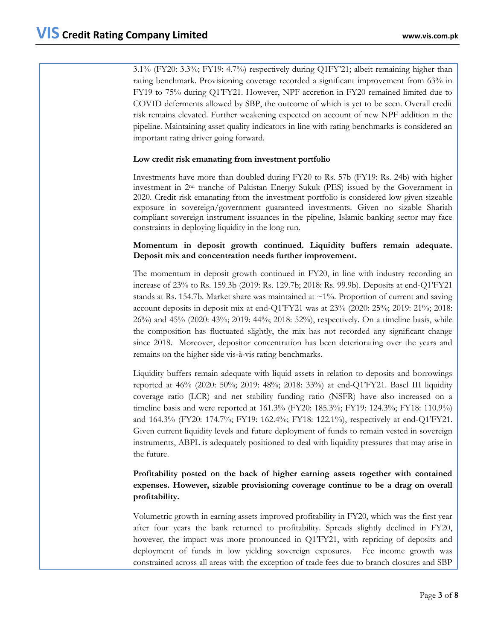3.1% (FY20: 3.3%; FY19: 4.7%) respectively during Q1FY'21; albeit remaining higher than rating benchmark. Provisioning coverage recorded a significant improvement from 63% in FY19 to 75% during Q1'FY21. However, NPF accretion in FY20 remained limited due to COVID deferments allowed by SBP, the outcome of which is yet to be seen. Overall credit risk remains elevated. Further weakening expected on account of new NPF addition in the pipeline. Maintaining asset quality indicators in line with rating benchmarks is considered an important rating driver going forward.

# **Low credit risk emanating from investment portfolio**

Investments have more than doubled during FY20 to Rs. 57b (FY19: Rs. 24b) with higher investment in 2nd tranche of Pakistan Energy Sukuk (PES) issued by the Government in 2020. Credit risk emanating from the investment portfolio is considered low given sizeable exposure in sovereign/government guaranteed investments. Given no sizable Shariah compliant sovereign instrument issuances in the pipeline, Islamic banking sector may face constraints in deploying liquidity in the long run.

# **Momentum in deposit growth continued. Liquidity buffers remain adequate. Deposit mix and concentration needs further improvement.**

The momentum in deposit growth continued in FY20, in line with industry recording an increase of 23% to Rs. 159.3b (2019: Rs. 129.7b; 2018: Rs. 99.9b). Deposits at end-Q1'FY21 stands at Rs. 154.7b. Market share was maintained at  $\sim$ 1%. Proportion of current and saving account deposits in deposit mix at end-Q1'FY21 was at 23% (2020: 25%; 2019: 21%; 2018: 26%) and 45% (2020: 43%; 2019: 44%; 2018: 52%), respectively. On a timeline basis, while the composition has fluctuated slightly, the mix has not recorded any significant change since 2018. Moreover, depositor concentration has been deteriorating over the years and remains on the higher side vis-à-vis rating benchmarks.

Liquidity buffers remain adequate with liquid assets in relation to deposits and borrowings reported at 46% (2020: 50%; 2019: 48%; 2018: 33%) at end-Q1'FY21. Basel III liquidity coverage ratio (LCR) and net stability funding ratio (NSFR) have also increased on a timeline basis and were reported at 161.3% (FY20: 185.3%; FY19: 124.3%; FY18: 110.9%) and 164.3% (FY20: 174.7%; FY19: 162.4%; FY18: 122.1%), respectively at end-Q1'FY21. Given current liquidity levels and future deployment of funds to remain vested in sovereign instruments, ABPL is adequately positioned to deal with liquidity pressures that may arise in the future.

# **Profitability posted on the back of higher earning assets together with contained expenses. However, sizable provisioning coverage continue to be a drag on overall profitability.**

Volumetric growth in earning assets improved profitability in FY20, which was the first year after four years the bank returned to profitability. Spreads slightly declined in FY20, however, the impact was more pronounced in O1'FY21, with repricing of deposits and deployment of funds in low yielding sovereign exposures. Fee income growth was constrained across all areas with the exception of trade fees due to branch closures and SBP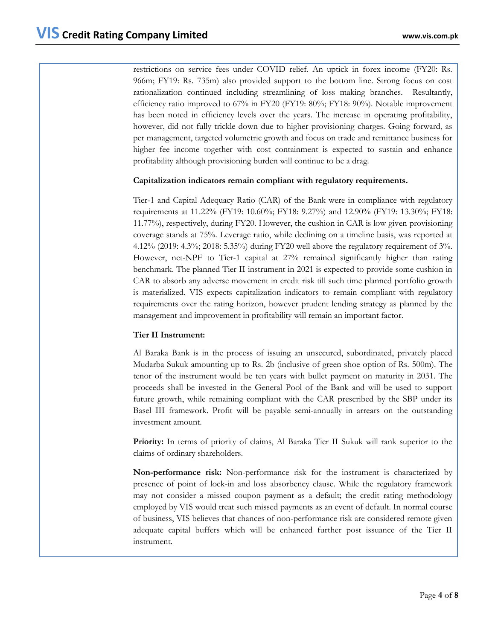restrictions on service fees under COVID relief. An uptick in forex income (FY20: Rs. 966m; FY19: Rs. 735m) also provided support to the bottom line. Strong focus on cost rationalization continued including streamlining of loss making branches. Resultantly, efficiency ratio improved to 67% in FY20 (FY19: 80%; FY18: 90%). Notable improvement has been noted in efficiency levels over the years. The increase in operating profitability, however, did not fully trickle down due to higher provisioning charges. Going forward, as per management, targeted volumetric growth and focus on trade and remittance business for higher fee income together with cost containment is expected to sustain and enhance profitability although provisioning burden will continue to be a drag.

# **Capitalization indicators remain compliant with regulatory requirements.**

Tier-1 and Capital Adequacy Ratio (CAR) of the Bank were in compliance with regulatory requirements at 11.22% (FY19: 10.60%; FY18: 9.27%) and 12.90% (FY19: 13.30%; FY18: 11.77%), respectively, during FY20. However, the cushion in CAR is low given provisioning coverage stands at 75%. Leverage ratio, while declining on a timeline basis, was reported at 4.12% (2019: 4.3%; 2018: 5.35%) during FY20 well above the regulatory requirement of 3%. However, net-NPF to Tier-1 capital at 27% remained significantly higher than rating benchmark. The planned Tier II instrument in 2021 is expected to provide some cushion in CAR to absorb any adverse movement in credit risk till such time planned portfolio growth is materialized. VIS expects capitalization indicators to remain compliant with regulatory requirements over the rating horizon, however prudent lending strategy as planned by the management and improvement in profitability will remain an important factor.

# **Tier II Instrument:**

Al Baraka Bank is in the process of issuing an unsecured, subordinated, privately placed Mudarba Sukuk amounting up to Rs. 2b (inclusive of green shoe option of Rs. 500m). The tenor of the instrument would be ten years with bullet payment on maturity in 2031. The proceeds shall be invested in the General Pool of the Bank and will be used to support future growth, while remaining compliant with the CAR prescribed by the SBP under its Basel III framework. Profit will be payable semi-annually in arrears on the outstanding investment amount.

**Priority:** In terms of priority of claims, Al Baraka Tier II Sukuk will rank superior to the claims of ordinary shareholders.

**Non-performance risk:** Non-performance risk for the instrument is characterized by presence of point of lock-in and loss absorbency clause. While the regulatory framework may not consider a missed coupon payment as a default; the credit rating methodology employed by VIS would treat such missed payments as an event of default. In normal course of business, VIS believes that chances of non-performance risk are considered remote given adequate capital buffers which will be enhanced further post issuance of the Tier II instrument.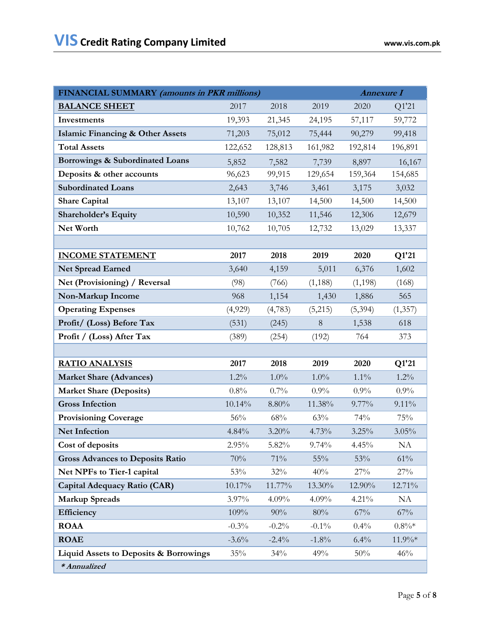| FINANCIAL SUMMARY (amounts in PKR millions)       |          |         |          | <b>Annexure I</b> |          |  |
|---------------------------------------------------|----------|---------|----------|-------------------|----------|--|
| <b>BALANCE SHEET</b>                              | 2017     | 2018    | 2019     | 2020              | Q1'21    |  |
| Investments                                       | 19,393   | 21,345  | 24,195   | 57,117            | 59,772   |  |
| <b>Islamic Financing &amp; Other Assets</b>       | 71,203   | 75,012  | 75,444   | 90,279            | 99,418   |  |
| <b>Total Assets</b>                               | 122,652  | 128,813 | 161,982  | 192,814           | 196,891  |  |
| Borrowings & Subordinated Loans                   | 5,852    | 7,582   | 7,739    | 8,897             | 16,167   |  |
| Deposits & other accounts                         | 96,623   | 99,915  | 129,654  | 159,364           | 154,685  |  |
| <b>Subordinated Loans</b>                         | 2,643    | 3,746   | 3,461    | 3,175             | 3,032    |  |
| <b>Share Capital</b>                              | 13,107   | 13,107  | 14,500   | 14,500            | 14,500   |  |
| <b>Shareholder's Equity</b>                       | 10,590   | 10,352  | 11,546   | 12,306            | 12,679   |  |
| Net Worth                                         | 10,762   | 10,705  | 12,732   | 13,029            | 13,337   |  |
|                                                   |          |         |          |                   |          |  |
| <b>INCOME STATEMENT</b>                           | 2017     | 2018    | 2019     | 2020              | Q1'21    |  |
| Net Spread Earned                                 | 3,640    | 4,159   | 5,011    | 6,376             | 1,602    |  |
| Net (Provisioning) / Reversal                     | (98)     | (766)   | (1,188)  | (1,198)           | (168)    |  |
| Non-Markup Income                                 | 968      | 1,154   | 1,430    | 1,886             | 565      |  |
| <b>Operating Expenses</b>                         | (4,929)  | (4,783) | (5,215)  | (5,394)           | (1,357)  |  |
| Profit/ (Loss) Before Tax                         | (531)    | (245)   | 8        | 1,538             | 618      |  |
| Profit / (Loss) After Tax                         | (389)    | (254)   | (192)    | 764               | 373      |  |
|                                                   |          |         |          |                   |          |  |
| <b>RATIO ANALYSIS</b>                             | 2017     | 2018    | 2019     | 2020              | Q1'21    |  |
| <b>Market Share (Advances)</b>                    | $1.2\%$  | $1.0\%$ | $1.0\%$  | $1.1\%$           | $1.2\%$  |  |
| <b>Market Share (Deposits)</b>                    | $0.8\%$  | 0.7%    | 0.9%     | 0.9%              | 0.9%     |  |
| <b>Gross Infection</b>                            | 10.14%   | 8.80%   | 11.38%   | 9.77%             | $9.11\%$ |  |
| <b>Provisioning Coverage</b>                      | 56%      | 68%     | 63%      | 74%               | 75%      |  |
| Net Infection                                     | 4.84%    | 3.20%   | 4.73%    | 3.25%             | 3.05%    |  |
| Cost of deposits                                  | 2.95%    | 5.82%   | 9.74%    | 4.45%             | NA       |  |
| <b>Gross Advances to Deposits Ratio</b>           | $70\%$   | $71\%$  | $55\%$   | 53%               | $61\%$   |  |
| Net NPFs to Tier-1 capital                        | 53%      | 32%     | 40%      | 27%               | 27%      |  |
| Capital Adequacy Ratio (CAR)                      | 10.17%   | 11.77%  | 13.30%   | 12.90%            | 12.71%   |  |
| <b>Markup Spreads</b>                             | 3.97%    | 4.09%   | 4.09%    | 4.21%             | NA       |  |
| Efficiency                                        | 109%     | 90%     | 80%      | 67%               | 67%      |  |
| <b>ROAA</b>                                       | $-0.3%$  | $-0.2%$ | $-0.1\%$ | 0.4%              | $0.8\%*$ |  |
| <b>ROAE</b>                                       | $-3.6\%$ | $-2.4%$ | $-1.8\%$ | 6.4%              | 11.9%*   |  |
| <b>Liquid Assets to Deposits &amp; Borrowings</b> | 35%      | 34%     | 49%      | 50%               | 46%      |  |
| * Annualized                                      |          |         |          |                   |          |  |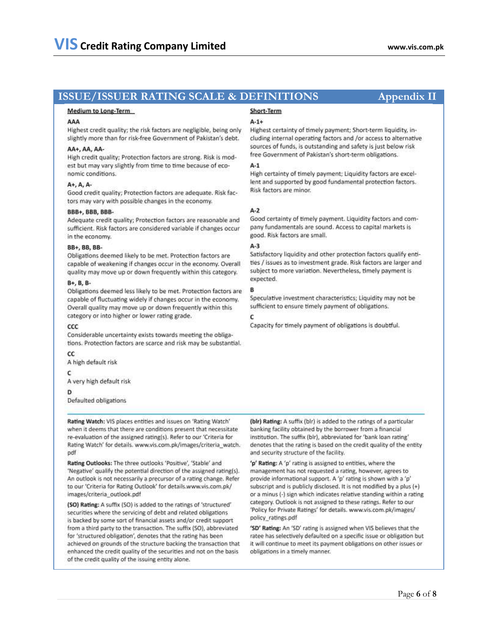#### Medium to Long-Term

#### AAA

Highest credit quality; the risk factors are negligible, being only slightly more than for risk-free Government of Pakistan's debt.

#### AA+. AA. AA-

High credit quality; Protection factors are strong. Risk is modest but may vary slightly from time to time because of economic conditions.

#### A+, A, A-

Good credit quality; Protection factors are adequate. Risk factors may vary with possible changes in the economy.

#### BBB+, BBB, BBB-

Adequate credit quality: Protection factors are reasonable and sufficient. Risk factors are considered variable if changes occur in the economy.

#### BB+, BB, BB-

Obligations deemed likely to be met. Protection factors are capable of weakening if changes occur in the economy. Overall quality may move up or down frequently within this category.

#### B+, B, B-

Obligations deemed less likely to be met. Protection factors are capable of fluctuating widely if changes occur in the economy. Overall quality may move up or down frequently within this category or into higher or lower rating grade.

#### $ccc$

Considerable uncertainty exists towards meeting the obligations. Protection factors are scarce and risk may be substantial.

#### $cc$

A high default risk

#### c

A very high default risk

Defaulted obligations

Rating Watch: VIS places entities and issues on 'Rating Watch' when it deems that there are conditions present that necessitate re-evaluation of the assigned rating(s). Refer to our 'Criteria for Rating Watch' for details. www.vis.com.pk/images/criteria\_watch. pdf

Rating Outlooks: The three outlooks 'Positive', 'Stable' and 'Negative' qualify the potential direction of the assigned rating(s). An outlook is not necessarily a precursor of a rating change. Refer to our 'Criteria for Rating Outlook' for details.www.vis.com.pk/ images/criteria\_outlook.pdf

(SO) Rating: A suffix (SO) is added to the ratings of 'structured' securities where the servicing of debt and related obligations is backed by some sort of financial assets and/or credit support from a third party to the transaction. The suffix (SO), abbreviated for 'structured obligation', denotes that the rating has been achieved on grounds of the structure backing the transaction that enhanced the credit quality of the securities and not on the basis of the credit quality of the issuing entity alone.

## Short-Term

#### $A - 1 +$

Highest certainty of timely payment; Short-term liquidity, including internal operating factors and /or access to alternative sources of funds, is outstanding and safety is just below risk free Government of Pakistan's short-term obligations.

#### $A-1$

High certainty of timely payment; Liquidity factors are excellent and supported by good fundamental protection factors. Risk factors are minor.

#### $A-2$

Good certainty of timely payment. Liquidity factors and company fundamentals are sound. Access to capital markets is good. Risk factors are small.

### $A-3$

Satisfactory liquidity and other protection factors qualify entities / issues as to investment grade. Risk factors are larger and subject to more variation. Nevertheless, timely payment is expected.

#### в

Speculative investment characteristics; Liquidity may not be sufficient to ensure timely payment of obligations.

### c

Capacity for timely payment of obligations is doubtful.

(bir) Rating: A suffix (bir) is added to the ratings of a particular banking facility obtained by the borrower from a financial institution. The suffix (blr), abbreviated for 'bank loan rating' denotes that the rating is based on the credit quality of the entity and security structure of the facility.

'p' Rating: A 'p' rating is assigned to entities, where the management has not requested a rating, however, agrees to provide informational support. A 'p' rating is shown with a 'p' subscript and is publicly disclosed. It is not modified by a plus (+) or a minus (-) sign which indicates relative standing within a rating category. Outlook is not assigned to these ratings. Refer to our 'Policy for Private Ratings' for details. www.vis.com.pk/images/ policy\_ratings.pdf

'SD' Rating: An 'SD' rating is assigned when VIS believes that the ratee has selectively defaulted on a specific issue or obligation but it will continue to meet its payment obligations on other issues or obligations in a timely manner.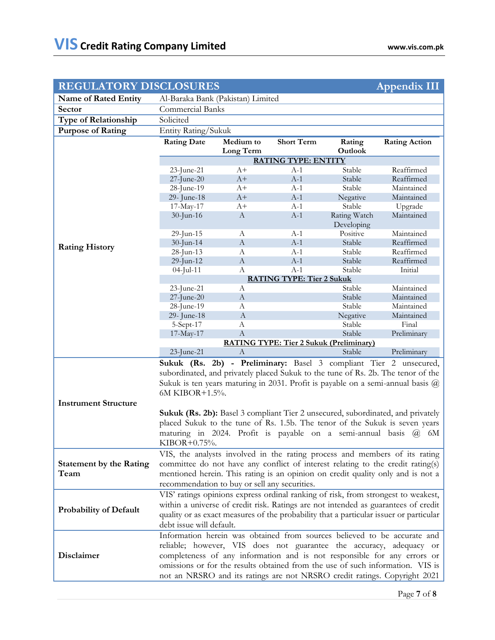| <b>REGULATORY DISCLOSURES</b>  |                                                                                                                                                 |                       |                                                |                            | <b>Appendix III</b>                                                                    |  |
|--------------------------------|-------------------------------------------------------------------------------------------------------------------------------------------------|-----------------------|------------------------------------------------|----------------------------|----------------------------------------------------------------------------------------|--|
| <b>Name of Rated Entity</b>    | Al-Baraka Bank (Pakistan) Limited                                                                                                               |                       |                                                |                            |                                                                                        |  |
| <b>Sector</b>                  | Commercial Banks                                                                                                                                |                       |                                                |                            |                                                                                        |  |
| <b>Type of Relationship</b>    | Solicited                                                                                                                                       |                       |                                                |                            |                                                                                        |  |
| <b>Purpose of Rating</b>       | Entity Rating/Sukuk                                                                                                                             |                       |                                                |                            |                                                                                        |  |
|                                | <b>Rating Date</b>                                                                                                                              | Medium to             | <b>Short Term</b>                              | Rating                     | <b>Rating Action</b>                                                                   |  |
|                                |                                                                                                                                                 | Long Term             |                                                | Outlook                    |                                                                                        |  |
|                                | <b>RATING TYPE: ENTITY</b>                                                                                                                      |                       |                                                |                            |                                                                                        |  |
|                                | 23-June-21                                                                                                                                      | $A+$                  | $A-1$                                          | Stable                     | Reaffirmed                                                                             |  |
|                                | $27$ -June- $20$                                                                                                                                | $A+$                  | $A-1$                                          | Stable                     | Reaffirmed                                                                             |  |
|                                | 28-June-19                                                                                                                                      | $A+$                  | $A-1$                                          | Stable                     | Maintained                                                                             |  |
|                                | 29- June-18                                                                                                                                     | $A+$                  | $A-1$                                          | Negative                   | Maintained                                                                             |  |
|                                | 17-May-17                                                                                                                                       | A+                    | $A-1$                                          | Stable                     | Upgrade                                                                                |  |
|                                | 30-Jun-16                                                                                                                                       | $\boldsymbol{A}$      | $A-1$                                          | Rating Watch<br>Developing | Maintained                                                                             |  |
|                                | 29-Jun-15                                                                                                                                       | A                     | $A-1$                                          | Positive                   | Maintained                                                                             |  |
| <b>Rating History</b>          | $30$ -Jun-14                                                                                                                                    | $\mathbf{A}$          | $A-1$                                          | Stable                     | Reaffirmed                                                                             |  |
|                                | 28-Jun-13                                                                                                                                       | A                     | $A-1$                                          | Stable                     | Reaffirmed                                                                             |  |
|                                | $29$ -Jun-12                                                                                                                                    | $\boldsymbol{A}$<br>A | $A-1$<br>$A-1$                                 | Stable<br>Stable           | Reaffirmed<br>Initial                                                                  |  |
|                                | $04$ -Jul-11                                                                                                                                    |                       | <b>RATING TYPE: Tier 2 Sukuk</b>               |                            |                                                                                        |  |
|                                | 23-June-21                                                                                                                                      | A                     |                                                | Stable                     | Maintained                                                                             |  |
|                                | $27$ -June- $20$                                                                                                                                | $\boldsymbol{A}$      |                                                | Stable                     | Maintained                                                                             |  |
|                                | 28-June-19                                                                                                                                      | A                     |                                                | Stable                     | Maintained                                                                             |  |
|                                | 29- June-18                                                                                                                                     | $\mathbf{A}$          |                                                | Negative                   | Maintained                                                                             |  |
|                                | 5-Sept-17                                                                                                                                       | A                     |                                                | Stable                     | Final                                                                                  |  |
|                                | 17-May-17                                                                                                                                       | $\mathbf{A}$          |                                                | Stable                     | Preliminary                                                                            |  |
|                                |                                                                                                                                                 |                       | <b>RATING TYPE: Tier 2 Sukuk (Preliminary)</b> |                            |                                                                                        |  |
|                                | 23-June-21                                                                                                                                      | A                     |                                                | Stable                     | Preliminary                                                                            |  |
|                                |                                                                                                                                                 |                       |                                                |                            | Sukuk (Rs. 2b) - Preliminary: Basel 3 compliant Tier 2 unsecured,                      |  |
|                                | subordinated, and privately placed Sukuk to the tune of Rs. 2b. The tenor of the                                                                |                       |                                                |                            |                                                                                        |  |
|                                |                                                                                                                                                 |                       |                                                |                            | Sukuk is ten years maturing in 2031. Profit is payable on a semi-annual basis $\omega$ |  |
|                                | 6M KIBOR+1.5%.                                                                                                                                  |                       |                                                |                            |                                                                                        |  |
| <b>Instrument Structure</b>    |                                                                                                                                                 |                       |                                                |                            |                                                                                        |  |
|                                |                                                                                                                                                 |                       |                                                |                            | Sukuk (Rs. 2b): Basel 3 compliant Tier 2 unsecured, subordinated, and privately        |  |
|                                |                                                                                                                                                 |                       |                                                |                            | placed Sukuk to the tune of Rs. 1.5b. The tenor of the Sukuk is seven years            |  |
|                                | maturing in 2024. Profit is payable on a semi-annual basis                                                                                      |                       |                                                |                            | 6M<br>(a)                                                                              |  |
|                                | KIBOR+0.75%.                                                                                                                                    |                       |                                                |                            |                                                                                        |  |
|                                | VIS, the analysts involved in the rating process and members of its rating                                                                      |                       |                                                |                            |                                                                                        |  |
| <b>Statement by the Rating</b> | committee do not have any conflict of interest relating to the credit rating(s)                                                                 |                       |                                                |                            |                                                                                        |  |
| Team                           | mentioned herein. This rating is an opinion on credit quality only and is not a                                                                 |                       |                                                |                            |                                                                                        |  |
|                                | recommendation to buy or sell any securities.                                                                                                   |                       |                                                |                            |                                                                                        |  |
|                                | VIS' ratings opinions express ordinal ranking of risk, from strongest to weakest,                                                               |                       |                                                |                            |                                                                                        |  |
|                                | within a universe of credit risk. Ratings are not intended as guarantees of credit                                                              |                       |                                                |                            |                                                                                        |  |
| <b>Probability of Default</b>  | quality or as exact measures of the probability that a particular issuer or particular                                                          |                       |                                                |                            |                                                                                        |  |
|                                | debt issue will default.                                                                                                                        |                       |                                                |                            |                                                                                        |  |
|                                |                                                                                                                                                 |                       |                                                |                            |                                                                                        |  |
|                                | Information herein was obtained from sources believed to be accurate and<br>reliable; however, VIS does not guarantee the accuracy, adequacy or |                       |                                                |                            |                                                                                        |  |
| Disclaimer                     | completeness of any information and is not responsible for any errors or                                                                        |                       |                                                |                            |                                                                                        |  |
|                                | omissions or for the results obtained from the use of such information. VIS is                                                                  |                       |                                                |                            |                                                                                        |  |
|                                | not an NRSRO and its ratings are not NRSRO credit ratings. Copyright 2021                                                                       |                       |                                                |                            |                                                                                        |  |
|                                |                                                                                                                                                 |                       |                                                |                            |                                                                                        |  |